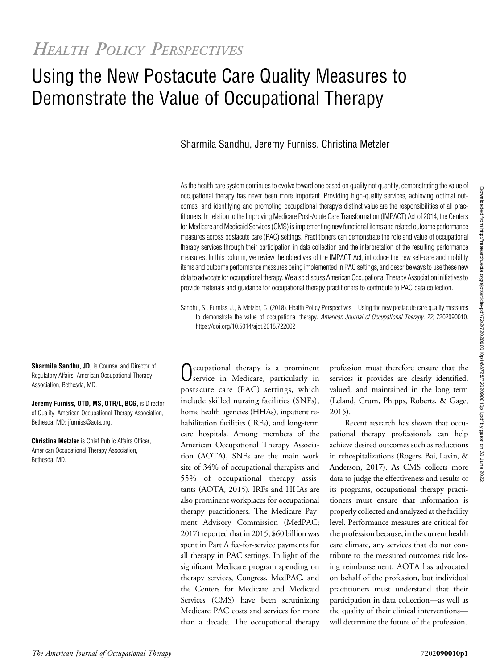# Using the New Postacute Care Quality Measures to Demonstrate the Value of Occupational Therapy

# Sharmila Sandhu, Jeremy Furniss, Christina Metzler

As the health care system continues to evolve toward one based on quality not quantity, demonstrating the value of occupational therapy has never been more important. Providing high-quality services, achieving optimal outcomes, and identifying and promoting occupational therapy's distinct value are the responsibilities of all practitioners. In relation to the Improving Medicare Post-Acute Care Transformation (IMPACT) Act of 2014, the Centers for Medicare and Medicaid Services(CMS) is implementing new functional items and related outcome performance measures across postacute care (PAC) settings. Practitioners can demonstrate the role and value of occupational therapy services through their participation in data collection and the interpretation of the resulting performance measures. In this column, we review the objectives of the IMPACT Act, introduce the new self-care and mobility items and outcome performance measures being implemented in PAC settings, and describe ways to use these new data to advocate for occupational therapy. We also discuss American Occupational Therapy Association initiatives to provide materials and guidance for occupational therapy practitioners to contribute to PAC data collection.

Sandhu, S., Furniss, J., & Metzler, C. (2018). Health Policy Perspectives—Using the new postacute care quality measures to demonstrate the value of occupational therapy. American Journal of Occupational Therapy, 72, 7202090010. <https://doi.org/10.5014/ajot.2018.722002>

Occupational therapy is a prominent service in Medicare, particularly in postacute care (PAC) settings, which include skilled nursing facilities (SNFs), home health agencies (HHAs), inpatient rehabilitation facilities (IRFs), and long-term care hospitals. Among members of the American Occupational Therapy Association (AOTA), SNFs are the main work site of 34% of occupational therapists and 55% of occupational therapy assistants (AOTA, 2015). IRFs and HHAs are also prominent workplaces for occupational therapy practitioners. The Medicare Payment Advisory Commission (MedPAC; 2017) reported that in 2015, \$60 billion was spent in Part A fee-for-service payments for all therapy in PAC settings. In light of the significant Medicare program spending on therapy services, Congress, MedPAC, and the Centers for Medicare and Medicaid Services (CMS) have been scrutinizing Medicare PAC costs and services for more than a decade. The occupational therapy

profession must therefore ensure that the services it provides are clearly identified, valued, and maintained in the long term (Leland, Crum, Phipps, Roberts, & Gage, 2015).

Recent research has shown that occupational therapy professionals can help achieve desired outcomes such as reductions in rehospitalizations (Rogers, Bai, Lavin, & Anderson, 2017). As CMS collects more data to judge the effectiveness and results of its programs, occupational therapy practitioners must ensure that information is properly collected and analyzed at the facility level. Performance measures are critical for the profession because, in the current health care climate, any services that do not contribute to the measured outcomes risk losing reimbursement. AOTA has advocated on behalf of the profession, but individual practitioners must understand that their participation in data collection—as well as the quality of their clinical interventions will determine the future of the profession.

Sharmila Sandhu, JD, is Counsel and Director of Regulatory Affairs, American Occupational Therapy Association, Bethesda, MD.

Jeremy Furniss, OTD, MS, OTR/L, BCG, is Director of Quality, American Occupational Therapy Association, Bethesda, MD; [jfurniss@aota.org](mailto:jfurniss@aota.org).

Christina Metzler is Chief Public Affairs Officer, American Occupational Therapy Association, Bethesda, MD.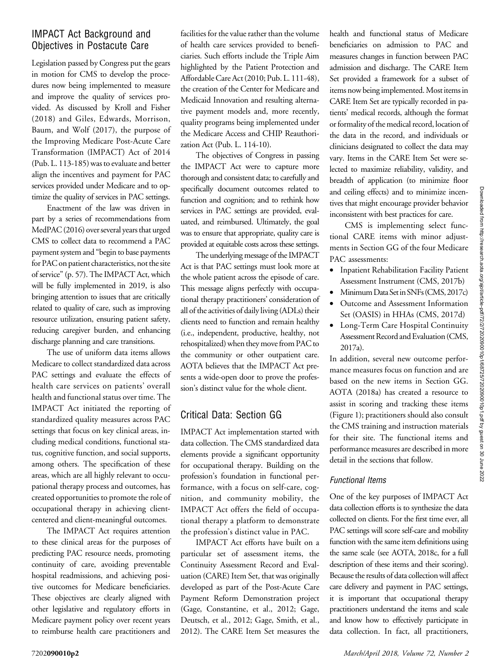# Downloaded from http://research.aota.org/ajot/article-pdf/72/2/7202090010p1/68725/7202090010p1.pdf by guest on 30 June 20220ownloaded from http://research.aota.org/ajot/article-pdf/72/202090010p1/68725/7202090010p1.pdf by guest on 30 June 2022

# IMPACT Act Background and Objectives in Postacute Care

Legislation passed by Congress put the gears in motion for CMS to develop the procedures now being implemented to measure and improve the quality of services provided. As discussed by Kroll and Fisher (2018) and Giles, Edwards, Morrison, Baum, and Wolf (2017), the purpose of the Improving Medicare Post-Acute Care Transformation (IMPACT) Act of 2014 (Pub. L. 113-185) was to evaluate and better align the incentives and payment for PAC services provided under Medicare and to optimize the quality of services in PAC settings.

Enactment of the law was driven in part by a series of recommendations from MedPAC (2016) over several years that urged CMS to collect data to recommend a PAC payment system and "begin to base payments for PAC on patient characteristics, not the site of service" (p. 57). The IMPACT Act, which will be fully implemented in 2019, is also bringing attention to issues that are critically related to quality of care, such as improving resource utilization, ensuring patient safety, reducing caregiver burden, and enhancing discharge planning and care transitions.

The use of uniform data items allows Medicare to collect standardized data across PAC settings and evaluate the effects of health care services on patients' overall health and functional status over time. The IMPACT Act initiated the reporting of standardized quality measures across PAC settings that focus on key clinical areas, including medical conditions, functional status, cognitive function, and social supports, among others. The specification of these areas, which are all highly relevant to occupational therapy process and outcomes, has created opportunities to promote the role of occupational therapy in achieving clientcentered and client-meaningful outcomes.

The IMPACT Act requires attention to these clinical areas for the purposes of predicting PAC resource needs, promoting continuity of care, avoiding preventable hospital readmissions, and achieving positive outcomes for Medicare beneficiaries. These objectives are clearly aligned with other legislative and regulatory efforts in Medicare payment policy over recent years to reimburse health care practitioners and

facilities for the value rather than the volume of health care services provided to beneficiaries. Such efforts include the Triple Aim highlighted by the Patient Protection and AffordableCare Act (2010; Pub. L. 111-48), the creation of the Center for Medicare and Medicaid Innovation and resulting alternative payment models and, more recently, quality programs being implemented under the Medicare Access and CHIP Reauthorization Act (Pub. L. 114-10).

The objectives of Congress in passing the IMPACT Act were to capture more thorough and consistent data; to carefully and specifically document outcomes related to function and cognition; and to rethink how services in PAC settings are provided, evaluated, and reimbursed. Ultimately, the goal was to ensure that appropriate, quality care is provided at equitable costs across these settings.

The underlying message of the IMPACT Act is that PAC settings must look more at the whole patient across the episode of care. This message aligns perfectly with occupational therapy practitioners' consideration of all of the activities of daily living (ADLs) their clients need to function and remain healthy (i.e., independent, productive, healthy, not rehospitalized) when they move from PAC to the community or other outpatient care. AOTA believes that the IMPACT Act presents a wide-open door to prove the profession's distinct value for the whole client.

# Critical Data: Section GG

IMPACT Act implementation started with data collection. The CMS standardized data elements provide a significant opportunity for occupational therapy. Building on the profession's foundation in functional performance, with a focus on self-care, cognition, and community mobility, the IMPACT Act offers the field of occupational therapy a platform to demonstrate the profession's distinct value in PAC.

IMPACT Act efforts have built on a particular set of assessment items, the Continuity Assessment Record and Evaluation (CARE) Item Set, that was originally developed as part of the Post-Acute Care Payment Reform Demonstration project (Gage, Constantine, et al., 2012; Gage, Deutsch, et al., 2012; Gage, Smith, et al., 2012). The CARE Item Set measures the

health and functional status of Medicare beneficiaries on admission to PAC and measures changes in function between PAC admission and discharge. The CARE Item Set provided a framework for a subset of items now being implemented. Most items in CARE Item Set are typically recorded in patients' medical records, although the format or formality of the medical record, location of the data in the record, and individuals or clinicians designated to collect the data may vary. Items in the CARE Item Set were selected to maximize reliability, validity, and breadth of application (to minimize floor and ceiling effects) and to minimize incentives that might encourage provider behavior inconsistent with best practices for care.

CMS is implementing select functional CARE items with minor adjustments in Section GG of the four Medicare PAC assessments:

- Inpatient Rehabilitation Facility Patient Assessment Instrument (CMS, 2017b)
- Minimum Data Set in SNFs (CMS, 2017c)
- Outcome and Assessment Information Set (OASIS) in HHAs (CMS, 2017d)
- Long-Term Care Hospital Continuity Assessment Record and Evaluation (CMS, 2017a).

In addition, several new outcome performance measures focus on function and are based on the new items in Section GG. AOTA (2018a) has created a resource to assist in scoring and tracking these items (Figure 1); practitioners should also consult the CMS training and instruction materials for their site. The functional items and performance measures are described in more detail in the sections that follow.

## Functional Items

One of the key purposes of IMPACT Act data collection efforts is to synthesize the data collected on clients. For the first time ever, all PAC settings will score self-care and mobility function with the same item definitions using the same scale (see AOTA, 2018c, for a full description of these items and their scoring). Because the results of data collection will affect care delivery and payment in PAC settings, it is important that occupational therapy practitioners understand the items and scale and know how to effectively participate in data collection. In fact, all practitioners,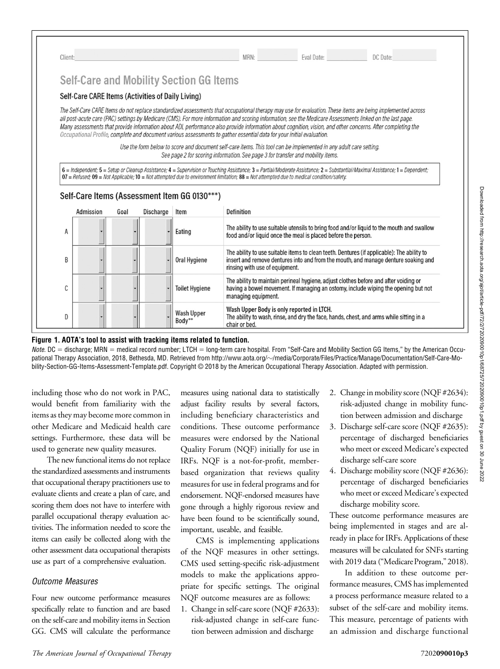| Client: |                                                   |      |           |                                                      | MRN:                                                                                                                                                                                                                                                                                                                                                                                                                                                                                                                                                                                                                                                     | Eval Date: | DC Date:                                                                                                                                                                                                                                                                                                                                     |
|---------|---------------------------------------------------|------|-----------|------------------------------------------------------|----------------------------------------------------------------------------------------------------------------------------------------------------------------------------------------------------------------------------------------------------------------------------------------------------------------------------------------------------------------------------------------------------------------------------------------------------------------------------------------------------------------------------------------------------------------------------------------------------------------------------------------------------------|------------|----------------------------------------------------------------------------------------------------------------------------------------------------------------------------------------------------------------------------------------------------------------------------------------------------------------------------------------------|
|         |                                                   |      |           | Self-Care and Mobility Section GG Items              |                                                                                                                                                                                                                                                                                                                                                                                                                                                                                                                                                                                                                                                          |            |                                                                                                                                                                                                                                                                                                                                              |
|         | Self-Care CARE Items (Activities of Daily Living) |      |           |                                                      |                                                                                                                                                                                                                                                                                                                                                                                                                                                                                                                                                                                                                                                          |            |                                                                                                                                                                                                                                                                                                                                              |
|         |                                                   |      |           |                                                      | all post-acute care (PAC) settings by Medicare (CMS). For more information and scoring information, see the Medicare Assessments linked on the last page.<br>Many assessments that provide information about ADL performance also provide information about cognition, vision, and other concerns. After completing the<br>Occupational Profile, complete and document various assessments to gather essential data for your initial evaluation.<br>Use the form below to score and document self-care items. This tool can be implemented in any adult care setting.<br>See page 2 for scoring information. See page 3 for transfer and mobility items. |            | The Self-Care CARE Items do not replace standardized assessments that occupational therapy may use for evaluation. These items are being implemented across<br>6 = Independent; 5 = Setup or Cleanup Assistance; 4 = Supervision or Touching Assistance; 3 = Partial/Moderate Assistance; 2 = Substantial/Maximal Assistance; 1 = Dependent; |
|         |                                                   |      |           |                                                      | $07$ = Refused; $09$ = Not Applicable; $10$ = Not attempted due to environment limitation; 88 = Not attempted due to medical condition/safety.                                                                                                                                                                                                                                                                                                                                                                                                                                                                                                           |            |                                                                                                                                                                                                                                                                                                                                              |
|         | Admission                                         | Goal | Discharge | Self-Care Items (Assessment Item GG 0130***)<br>Item | Definition                                                                                                                                                                                                                                                                                                                                                                                                                                                                                                                                                                                                                                               |            |                                                                                                                                                                                                                                                                                                                                              |
| A       |                                                   |      |           | Eating                                               | food and/or liquid once the meal is placed before the person.                                                                                                                                                                                                                                                                                                                                                                                                                                                                                                                                                                                            |            | The ability to use suitable utensils to bring food and/or liquid to the mouth and swallow                                                                                                                                                                                                                                                    |
| B       |                                                   |      |           | Oral Hygiene                                         | rinsing with use of equipment.                                                                                                                                                                                                                                                                                                                                                                                                                                                                                                                                                                                                                           |            | The ability to use suitable items to clean teeth. Dentures (if applicable): The ability to<br>insert and remove dentures into and from the mouth, and manage denture soaking and                                                                                                                                                             |
| C       |                                                   |      |           | <b>Toilet Hygiene</b>                                | managing equipment.                                                                                                                                                                                                                                                                                                                                                                                                                                                                                                                                                                                                                                      |            | The ability to maintain perineal hygiene, adjust clothes before and after voiding or<br>having a bowel movement. If managing an ostomy, include wiping the opening but not                                                                                                                                                                   |

#### Figure 1. AOTA's tool to assist with tracking items related to function.

 $Note. DC = distance$  MRN = medical record number; LTCH = long-term care hospital. From "Self-Care and Mobility Section GG Items," by the American Occu-pational Therapy Association, 2018, Bethesda, MD. Retrieved from http://www.aota.org/~[/media/Corporate/Files/Practice/Manage/Documentation/Self-Care-Mo](http://www.aota.org/~/media/Corporate/Files/Practice/Manage/Documentation/Self-Care-Mobility-Section-GG-Items-Assessment-Template.pdf)[bility-Section-GG-Items-Assessment-Template.pdf](http://www.aota.org/~/media/Corporate/Files/Practice/Manage/Documentation/Self-Care-Mobility-Section-GG-Items-Assessment-Template.pdf). Copyright © 2018 by the American Occupational Therapy Association. Adapted with permission.

including those who do not work in PAC, would benefit from familiarity with the items as they may become more common in other Medicare and Medicaid health care settings. Furthermore, these data will be used to generate new quality measures.

The new functional items do not replace the standardized assessments and instruments that occupational therapy practitioners use to evaluate clients and create a plan of care, and scoring them does not have to interfere with parallel occupational therapy evaluation activities. The information needed to score the items can easily be collected along with the other assessment data occupational therapists use as part of a comprehensive evaluation.

## Outcome Measures

Four new outcome performance measures specifically relate to function and are based on the self-care and mobility items in Section GG. CMS will calculate the performance measures using national data to statistically adjust facility results by several factors, including beneficiary characteristics and conditions. These outcome performance measures were endorsed by the National Quality Forum (NQF) initially for use in IRFs. NQF is a not-for-profit, memberbased organization that reviews quality measures for use in federal programs and for endorsement. NQF-endorsed measures have gone through a highly rigorous review and have been found to be scientifically sound, important, useable, and feasible.

CMS is implementing applications of the NQF measures in other settings. CMS used setting-specific risk-adjustment models to make the applications appropriate for specific settings. The original NQF outcome measures are as follows:

1. Change in self-care score (NQF #2633): risk-adjusted change in self-care function between admission and discharge

- 2. Change in mobility score (NQF #2634): risk-adjusted change in mobility function between admission and discharge
- 3. Discharge self-care score (NQF #2635): percentage of discharged beneficiaries who meet or exceed Medicare's expected discharge self-care score
- 4. Discharge mobility score (NQF #2636): percentage of discharged beneficiaries who meet or exceed Medicare's expected discharge mobility score.

These outcome performance measures are being implemented in stages and are already in place for IRFs. Applications of these measures will be calculated for SNFs starting with 2019 data ("Medicare Program," 2018).

In addition to these outcome performance measures, CMS has implemented a process performance measure related to a subset of the self-care and mobility items. This measure, percentage of patients with an admission and discharge functional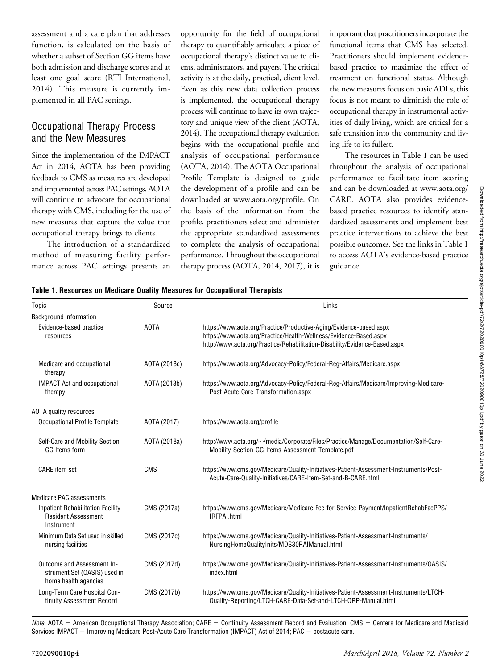assessment and a care plan that addresses function, is calculated on the basis of whether a subset of Section GG items have both admission and discharge scores and at least one goal score (RTI International, 2014). This measure is currently implemented in all PAC settings.

# Occupational Therapy Process and the New Measures

Since the implementation of the IMPACT Act in 2014, AOTA has been providing feedback to CMS as measures are developed and implemented across PAC settings. AOTA will continue to advocate for occupational therapy with CMS, including for the use of new measures that capture the value that occupational therapy brings to clients.

The introduction of a standardized method of measuring facility performance across PAC settings presents an

opportunity for the field of occupational therapy to quantifiably articulate a piece of occupational therapy's distinct value to clients, administrators, and payers. The critical activity is at the daily, practical, client level. Even as this new data collection process is implemented, the occupational therapy process will continue to have its own trajectory and unique view of the client (AOTA, 2014). The occupational therapy evaluation begins with the occupational profile and analysis of occupational performance (AOTA, 2014). The AOTA Occupational Profile Template is designed to guide the development of a profile and can be downloaded at [www.aota.org/profile](http://www.aota.org/profile). On the basis of the information from the profile, practitioners select and administer the appropriate standardized assessments to complete the analysis of occupational performance. Throughout the occupational therapy process (AOTA, 2014, 2017), it is important that practitioners incorporate the functional items that CMS has selected. Practitioners should implement evidencebased practice to maximize the effect of treatment on functional status. Although the new measures focus on basic ADLs, this focus is not meant to diminish the role of occupational therapy in instrumental activities of daily living, which are critical for a safe transition into the community and living life to its fullest.

The resources in Table 1 can be used throughout the analysis of occupational performance to facilitate item scoring and can be downloaded at [www.aota.org/](http://www.aota.org/CARE) [CARE](http://www.aota.org/CARE). AOTA also provides evidencebased practice resources to identify standardized assessments and implement best practice interventions to achieve the best possible outcomes. See the links in Table 1 to access AOTA's evidence-based practice guidance.

|  | Table 1. Resources on Medicare Quality Measures for Occupational Therapists |  |  |  |
|--|-----------------------------------------------------------------------------|--|--|--|
|  |                                                                             |  |  |  |

| Topic                                                                                | Source       | Links                                                                                                                                                                                                                 |
|--------------------------------------------------------------------------------------|--------------|-----------------------------------------------------------------------------------------------------------------------------------------------------------------------------------------------------------------------|
| Background information                                                               |              |                                                                                                                                                                                                                       |
| Evidence-based practice<br>resources                                                 | <b>AOTA</b>  | https://www.aota.org/Practice/Productive-Aging/Evidence-based.aspx<br>https://www.aota.org/Practice/Health-Wellness/Evidence-Based.aspx<br>http://www.aota.org/Practice/Rehabilitation-Disability/Evidence-Based.aspx |
| Medicare and occupational<br>therapy                                                 | AOTA (2018c) | https://www.aota.org/Advocacy-Policy/Federal-Reg-Affairs/Medicare.aspx                                                                                                                                                |
| <b>IMPACT Act and occupational</b><br>therapy                                        | AOTA (2018b) | https://www.aota.org/Advocacy-Policy/Federal-Reg-Affairs/Medicare/Improving-Medicare-<br>Post-Acute-Care-Transformation.aspx                                                                                          |
| AOTA quality resources                                                               |              |                                                                                                                                                                                                                       |
| Occupational Profile Template                                                        | AOTA (2017)  | https://www.aota.org/profile                                                                                                                                                                                          |
| Self-Care and Mobility Section<br>GG Items form                                      | AOTA (2018a) | http://www.aota.org/~/media/Corporate/Files/Practice/Manage/Documentation/Self-Care-<br>Mobility-Section-GG-Items-Assessment-Template.pdf                                                                             |
| <b>CARE</b> item set                                                                 | <b>CMS</b>   | https://www.cms.gov/Medicare/Quality-Initiatives-Patient-Assessment-Instruments/Post-<br>Acute-Care-Quality-Initiatives/CARE-Item-Set-and-B-CARE.html                                                                 |
| Medicare PAC assessments                                                             |              |                                                                                                                                                                                                                       |
| <b>Inpatient Rehabilitation Facility</b><br><b>Resident Assessment</b><br>Instrument | CMS (2017a)  | https://www.cms.gov/Medicare/Medicare-Fee-for-Service-Payment/InpatientRehabFacPPS/<br>IRFPAI.html                                                                                                                    |
| Minimum Data Set used in skilled<br>nursing facilities                               | CMS (2017c)  | https://www.cms.gov/Medicare/Quality-Initiatives-Patient-Assessment-Instruments/<br>NursingHomeQualityInits/MDS30RAIManual.html                                                                                       |
| Outcome and Assessment In-<br>strument Set (OASIS) used in<br>home health agencies   | CMS (2017d)  | https://www.cms.gov/Medicare/Quality-Initiatives-Patient-Assessment-Instruments/OASIS/<br>index.html                                                                                                                  |
| Long-Term Care Hospital Con-<br>tinuity Assessment Record                            | CMS (2017b)  | https://www.cms.gov/Medicare/Quality-Initiatives-Patient-Assessment-Instruments/LTCH-<br>Quality-Reporting/LTCH-CARE-Data-Set-and-LTCH-QRP-Manual.html                                                                |

Note. AOTA = American Occupational Therapy Association; CARE = Continuity Assessment Record and Evaluation; CMS = Centers for Medicare and Medicaid Services IMPACT = Improving Medicare Post-Acute Care Transformation (IMPACT) Act of 2014; PAC = postacute care.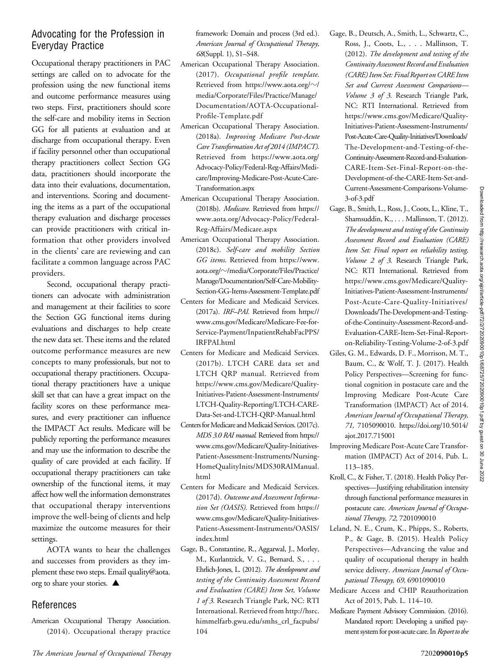# Advocating for the Profession in Everyday Practice

Occupational therapy practitioners in PAC settings are called on to advocate for the profession using the new functional items and outcome performance measures using two steps. First, practitioners should score the self-care and mobility items in Section GG for all patients at evaluation and at discharge from occupational therapy. Even if facility personnel other than occupational therapy practitioners collect Section GG data, practitioners should incorporate the data into their evaluations, documentation, and interventions. Scoring and documenting the items as a part of the occupational therapy evaluation and discharge processes can provide practitioners with critical information that other providers involved in the clients' care are reviewing and can facilitate a common language across PAC providers.

Second, occupational therapy practitioners can advocate with administration and management at their facilities to score the Section GG functional items during evaluations and discharges to help create the new data set. These items and the related outcome performance measures are new concepts to many professionals, but not to occupational therapy practitioners. Occupational therapy practitioners have a unique skill set that can have a great impact on the facility scores on these performance measures, and every practitioner can influence the IMPACT Act results. Medicare will be publicly reporting the performance measures and may use the information to describe the quality of care provided at each facility. If occupational therapy practitioners can take ownership of the functional items, it may affect how well the information demonstrates that occupational therapy interventions improve the well-being of clients and help maximize the outcome measures for their settings.

AOTA wants to hear the challenges and successes from providers as they implement these two steps. Email [quality@aota.](mailto:quality@aota.org) [org](mailto:quality@aota.org) to share your stories.  $\blacktriangle$ 

# References

American Occupational Therapy Association. (2014). Occupational therapy practice

The American Journal of Occupational Therapy 7202090010p5

framework: Domain and process (3rd ed.). American Journal of Occupational Therapy, 68(Suppl. 1), S1–S48.

- American Occupational Therapy Association. (2017). Occupational profile template. Retrieved from [https://www.aota.org/](https://www.aota.org/%7E/media/Corporate/Files/Practice/Manage/Documentation/AOTA-Occupational-Profile-Template.pdf) $\sim$ / [media/Corporate/Files/Practice/Manage/](https://www.aota.org/%7E/media/Corporate/Files/Practice/Manage/Documentation/AOTA-Occupational-Profile-Template.pdf) [Documentation/AOTA-Occupational-](https://www.aota.org/%7E/media/Corporate/Files/Practice/Manage/Documentation/AOTA-Occupational-Profile-Template.pdf)[Profile-Template.pdf](https://www.aota.org/%7E/media/Corporate/Files/Practice/Manage/Documentation/AOTA-Occupational-Profile-Template.pdf)
- American Occupational Therapy Association. (2018a). Improving Medicare Post-Acute Care Transformation Act of 2014 (IMPACT). Retrieved from [https://www.aota.org/](https://www.aota.org/Advocacy-Policy/Federal-Reg-Affairs/Medicare/Improving-Medicare-Post-Acute-Care-Transformation.aspx) [Advocacy-Policy/Federal-Reg-Affairs/Medi](https://www.aota.org/Advocacy-Policy/Federal-Reg-Affairs/Medicare/Improving-Medicare-Post-Acute-Care-Transformation.aspx)[care/Improving-Medicare-Post-Acute-Care-](https://www.aota.org/Advocacy-Policy/Federal-Reg-Affairs/Medicare/Improving-Medicare-Post-Acute-Care-Transformation.aspx)[Transformation.aspx](https://www.aota.org/Advocacy-Policy/Federal-Reg-Affairs/Medicare/Improving-Medicare-Post-Acute-Care-Transformation.aspx)
- American Occupational Therapy Association. (2018b). Medicare. Retrieved from [https://](https://www.aota.org/Advocacy-Policy/Federal-Reg-Affairs/Medicare.aspx) [www.aota.org/Advocacy-Policy/Federal-](https://www.aota.org/Advocacy-Policy/Federal-Reg-Affairs/Medicare.aspx)[Reg-Affairs/Medicare.aspx](https://www.aota.org/Advocacy-Policy/Federal-Reg-Affairs/Medicare.aspx)
- American Occupational Therapy Association. (2018c). Self-care and mobility Section GG items. Retrieved from [https://www.](https://www.aota.org/%7E/media/Corporate/Files/Practice/Manage/Documentation/Self-Care-Mobility-Section-GG-Items-Assessment-Template.pdf) aota.org/z[/media/Corporate/Files/Practice/](https://www.aota.org/%7E/media/Corporate/Files/Practice/Manage/Documentation/Self-Care-Mobility-Section-GG-Items-Assessment-Template.pdf) [Manage/Documentation/Self-Care-Mobility-](https://www.aota.org/%7E/media/Corporate/Files/Practice/Manage/Documentation/Self-Care-Mobility-Section-GG-Items-Assessment-Template.pdf)[Section-GG-Items-Assessment-Template.pdf](https://www.aota.org/%7E/media/Corporate/Files/Practice/Manage/Documentation/Self-Care-Mobility-Section-GG-Items-Assessment-Template.pdf)
- Centers for Medicare and Medicaid Services. (2017a). IRF–PAI. Retrieved from [https://](https://www.cms.gov/Medicare/Medicare-Fee-for-Service-Payment/InpatientRehabFacPPS/IRFPAI.html) [www.cms.gov/Medicare/Medicare-Fee-for-](https://www.cms.gov/Medicare/Medicare-Fee-for-Service-Payment/InpatientRehabFacPPS/IRFPAI.html)[Service-Payment/InpatientRehabFacPPS/](https://www.cms.gov/Medicare/Medicare-Fee-for-Service-Payment/InpatientRehabFacPPS/IRFPAI.html) [IRFPAI.html](https://www.cms.gov/Medicare/Medicare-Fee-for-Service-Payment/InpatientRehabFacPPS/IRFPAI.html)
- Centers for Medicare and Medicaid Services. (2017b). LTCH CARE data set and LTCH QRP manual. Retrieved from [https://www.cms.gov/Medicare/Quality-](https://www.cms.gov/Medicare/Quality-Initiatives-Patient-Assessment-Instruments/LTCH-Quality-Reporting/LTCH-CARE-Data-Set-and-LTCH-QRP-Manual.html)[Initiatives-Patient-Assessment-Instruments/](https://www.cms.gov/Medicare/Quality-Initiatives-Patient-Assessment-Instruments/LTCH-Quality-Reporting/LTCH-CARE-Data-Set-and-LTCH-QRP-Manual.html) [LTCH-Quality-Reporting/LTCH-CARE-](https://www.cms.gov/Medicare/Quality-Initiatives-Patient-Assessment-Instruments/LTCH-Quality-Reporting/LTCH-CARE-Data-Set-and-LTCH-QRP-Manual.html)[Data-Set-and-LTCH-QRP-Manual.html](https://www.cms.gov/Medicare/Quality-Initiatives-Patient-Assessment-Instruments/LTCH-Quality-Reporting/LTCH-CARE-Data-Set-and-LTCH-QRP-Manual.html)
- Centers for Medicare and Medicaid Services. (2017c). MDS 3.0 RAI manual. Retrieved from [https://](https://www.cms.gov/Medicare/Quality-Initiatives-Patient-Assessment-Instruments/NursingHomeQualityInits/MDS30RAIManual.html) [www.cms.gov/Medicare/Quality-Initiatives-](https://www.cms.gov/Medicare/Quality-Initiatives-Patient-Assessment-Instruments/NursingHomeQualityInits/MDS30RAIManual.html)[Patient-Assessment-Instruments/Nursing-](https://www.cms.gov/Medicare/Quality-Initiatives-Patient-Assessment-Instruments/NursingHomeQualityInits/MDS30RAIManual.html)[HomeQualityInits/MDS30RAIManual.](https://www.cms.gov/Medicare/Quality-Initiatives-Patient-Assessment-Instruments/NursingHomeQualityInits/MDS30RAIManual.html) [html](https://www.cms.gov/Medicare/Quality-Initiatives-Patient-Assessment-Instruments/NursingHomeQualityInits/MDS30RAIManual.html)
- Centers for Medicare and Medicaid Services. (2017d). Outcome and Assessment Information Set (OASIS). Retrieved from [https://](https://www.cms.gov/Medicare/Quality-Initiatives-Patient-Assessment-Instruments/OASIS/index.html) [www.cms.gov/Medicare/Quality-Initiatives-](https://www.cms.gov/Medicare/Quality-Initiatives-Patient-Assessment-Instruments/OASIS/index.html)[Patient-Assessment-Instruments/OASIS/](https://www.cms.gov/Medicare/Quality-Initiatives-Patient-Assessment-Instruments/OASIS/index.html) [index.html](https://www.cms.gov/Medicare/Quality-Initiatives-Patient-Assessment-Instruments/OASIS/index.html)
- Gage, B., Constantine, R., Aggarwal, J., Morley, M., Kurlantzick, V. G., Bernard, S., . . . Ehrlich-Jones, L. (2012). The development and testing of the Continuity Assessment Record and Evaluation (CARE) Item Set, Volume 1 of 3. Research Triangle Park, NC: RTI International. Retrieved from [http://hsrc.](http://hsrc.himmelfarb.gwu.edu/smhs_crl_facpubs/104) [himmelfarb.gwu.edu/smhs\\_crl\\_facpubs/](http://hsrc.himmelfarb.gwu.edu/smhs_crl_facpubs/104) [104](http://hsrc.himmelfarb.gwu.edu/smhs_crl_facpubs/104)
- Gage, B., Deutsch, A., Smith, L., Schwartz, C., Ross, J., Coots, L., . . . Mallinson, T. (2012). The development and testing of the Continuity Assessment Record and Evaluation (CARE) Item Set: Final Report on CARE Item Set and Current Assessment Comparisons— Volume 3 of 3. Research Triangle Park, NC: RTI International. Retrieved from [https://www.cms.gov/Medicare/Quality-](https://www.cms.gov/Medicare/Quality-Initiatives-Patient-Assessment-Instruments/Post-Acute-Care-Quality-Initiatives/Downloads/The-Development-and-Testing-of-the-Continuity-Assessment-Record-and-Evaluation-CARE-Item-Set-Final-Report-on-the-Development-of-the-CARE-Item-Set-and-Current-Assessment-Comparisons-Volume-3-of-3.pdf)[Initiatives-Patient-Assessment-Instruments/](https://www.cms.gov/Medicare/Quality-Initiatives-Patient-Assessment-Instruments/Post-Acute-Care-Quality-Initiatives/Downloads/The-Development-and-Testing-of-the-Continuity-Assessment-Record-and-Evaluation-CARE-Item-Set-Final-Report-on-the-Development-of-the-CARE-Item-Set-and-Current-Assessment-Comparisons-Volume-3-of-3.pdf) [Post-Acute-Care-Quality-Initiatives/Downloads/](https://www.cms.gov/Medicare/Quality-Initiatives-Patient-Assessment-Instruments/Post-Acute-Care-Quality-Initiatives/Downloads/The-Development-and-Testing-of-the-Continuity-Assessment-Record-and-Evaluation-CARE-Item-Set-Final-Report-on-the-Development-of-the-CARE-Item-Set-and-Current-Assessment-Comparisons-Volume-3-of-3.pdf) [The-Development-and-Testing-of-the-](https://www.cms.gov/Medicare/Quality-Initiatives-Patient-Assessment-Instruments/Post-Acute-Care-Quality-Initiatives/Downloads/The-Development-and-Testing-of-the-Continuity-Assessment-Record-and-Evaluation-CARE-Item-Set-Final-Report-on-the-Development-of-the-CARE-Item-Set-and-Current-Assessment-Comparisons-Volume-3-of-3.pdf)[Continuity-Assessment-Record-and-Evaluation-](https://www.cms.gov/Medicare/Quality-Initiatives-Patient-Assessment-Instruments/Post-Acute-Care-Quality-Initiatives/Downloads/The-Development-and-Testing-of-the-Continuity-Assessment-Record-and-Evaluation-CARE-Item-Set-Final-Report-on-the-Development-of-the-CARE-Item-Set-and-Current-Assessment-Comparisons-Volume-3-of-3.pdf)[CARE-Item-Set-Final-Report-on-the-](https://www.cms.gov/Medicare/Quality-Initiatives-Patient-Assessment-Instruments/Post-Acute-Care-Quality-Initiatives/Downloads/The-Development-and-Testing-of-the-Continuity-Assessment-Record-and-Evaluation-CARE-Item-Set-Final-Report-on-the-Development-of-the-CARE-Item-Set-and-Current-Assessment-Comparisons-Volume-3-of-3.pdf)[Development-of-the-CARE-Item-Set-and-](https://www.cms.gov/Medicare/Quality-Initiatives-Patient-Assessment-Instruments/Post-Acute-Care-Quality-Initiatives/Downloads/The-Development-and-Testing-of-the-Continuity-Assessment-Record-and-Evaluation-CARE-Item-Set-Final-Report-on-the-Development-of-the-CARE-Item-Set-and-Current-Assessment-Comparisons-Volume-3-of-3.pdf)[Current-Assessment-Comparisons-Volume-](https://www.cms.gov/Medicare/Quality-Initiatives-Patient-Assessment-Instruments/Post-Acute-Care-Quality-Initiatives/Downloads/The-Development-and-Testing-of-the-Continuity-Assessment-Record-and-Evaluation-CARE-Item-Set-Final-Report-on-the-Development-of-the-CARE-Item-Set-and-Current-Assessment-Comparisons-Volume-3-of-3.pdf)[3-of-3.pdf](https://www.cms.gov/Medicare/Quality-Initiatives-Patient-Assessment-Instruments/Post-Acute-Care-Quality-Initiatives/Downloads/The-Development-and-Testing-of-the-Continuity-Assessment-Record-and-Evaluation-CARE-Item-Set-Final-Report-on-the-Development-of-the-CARE-Item-Set-and-Current-Assessment-Comparisons-Volume-3-of-3.pdf)
- Gage, B., Smith, L., Ross, J., Coots, L., Kline, T., Shamsuddin, K., . . . Mallinson, T. (2012). The development and testing of the Continuity Assessment Record and Evaluation (CARE) Item Set: Final report on reliability testing, Volume 2 of 3. Research Triangle Park, NC: RTI International. Retrieved from [https://www.cms.gov/Medicare/Quality-](https://www.cms.gov/Medicare/Quality-Initiatives-Patient-Assessment-Instruments/Post-Acute-Care-Quality-Initiatives/Downloads/The-Development-and-Testing-of-the-Continuity-Assessment-Record-and-Evaluation-CARE-Item-Set-Final-Report-on-Reliability-Testing-Volume-2-of-3.pdf)[Initiatives-Patient-Assessment-Instruments/](https://www.cms.gov/Medicare/Quality-Initiatives-Patient-Assessment-Instruments/Post-Acute-Care-Quality-Initiatives/Downloads/The-Development-and-Testing-of-the-Continuity-Assessment-Record-and-Evaluation-CARE-Item-Set-Final-Report-on-Reliability-Testing-Volume-2-of-3.pdf) [Post-Acute-Care-Quality-Initiatives/](https://www.cms.gov/Medicare/Quality-Initiatives-Patient-Assessment-Instruments/Post-Acute-Care-Quality-Initiatives/Downloads/The-Development-and-Testing-of-the-Continuity-Assessment-Record-and-Evaluation-CARE-Item-Set-Final-Report-on-Reliability-Testing-Volume-2-of-3.pdf) [Downloads/The-Development-and-Testing](https://www.cms.gov/Medicare/Quality-Initiatives-Patient-Assessment-Instruments/Post-Acute-Care-Quality-Initiatives/Downloads/The-Development-and-Testing-of-the-Continuity-Assessment-Record-and-Evaluation-CARE-Item-Set-Final-Report-on-Reliability-Testing-Volume-2-of-3.pdf)[of-the-Continuity-Assessment-Record-and-](https://www.cms.gov/Medicare/Quality-Initiatives-Patient-Assessment-Instruments/Post-Acute-Care-Quality-Initiatives/Downloads/The-Development-and-Testing-of-the-Continuity-Assessment-Record-and-Evaluation-CARE-Item-Set-Final-Report-on-Reliability-Testing-Volume-2-of-3.pdf)[Evaluation-CARE-Item-Set-Final-Report](https://www.cms.gov/Medicare/Quality-Initiatives-Patient-Assessment-Instruments/Post-Acute-Care-Quality-Initiatives/Downloads/The-Development-and-Testing-of-the-Continuity-Assessment-Record-and-Evaluation-CARE-Item-Set-Final-Report-on-Reliability-Testing-Volume-2-of-3.pdf)[on-Reliability-Testing-Volume-2-of-3.pdf](https://www.cms.gov/Medicare/Quality-Initiatives-Patient-Assessment-Instruments/Post-Acute-Care-Quality-Initiatives/Downloads/The-Development-and-Testing-of-the-Continuity-Assessment-Record-and-Evaluation-CARE-Item-Set-Final-Report-on-Reliability-Testing-Volume-2-of-3.pdf)
- Giles, G. M., Edwards, D. F., Morrison, M. T., Baum, C., & Wolf, T. J. (2017). Health Policy Perspectives—Screening for functional cognition in postacute care and the Improving Medicare Post-Acute Care Transformation (IMPACT) Act of 2014. American Journal of Occupational Therapy, 71, 7105090010. [https://doi.org/10.5014/](https://doi.org/10.5014/ajot.2017.715001) [ajot.2017.715001](https://doi.org/10.5014/ajot.2017.715001)
- Improving Medicare Post-Acute Care Transformation (IMPACT) Act of 2014, Pub. L. 113–185.
- Kroll, C., & Fisher, T. (2018). Health Policy Perspectives—Justifying rehabilitation intensity through functional performance measures in postacute care. American Journal of Occupational Therapy, 72, 7201090010
- Leland, N. E., Crum, K., Phipps, S., Roberts, P., & Gage, B. (2015). Health Policy Perspectives—Advancing the value and quality of occupational therapy in health service delivery. American Journal of Occupational Therapy, 69, 6901090010
- Medicare Access and CHIP Reauthorization Act of 2015, Pub. L. 114–10.
- Medicare Payment Advisory Commission. (2016). Mandated report: Developing a unified payment system for post-acute care. In Report to the